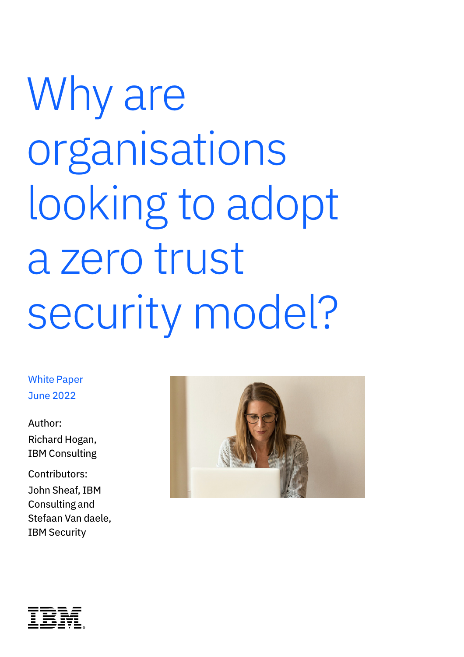# Why are organisations looking to adopt a zero trust security model?

White Paper June 2022

Author: Richard Hogan, IBM Consulting

Contributors: John Sheaf, IBM Consulting and Stefaan Van daele, IBM Security



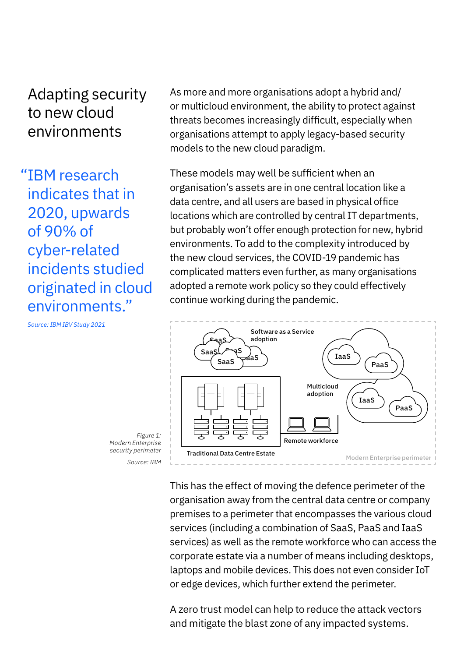## Adapting security to new cloud environments

"IBM research indicates that in 2020, upwards of 90% of cyber-related incidents studied originated in cloud environments."

As more and more organisations adopt a hybrid and/ or multicloud environment, the ability to protect against threats becomes increasingly difficult, especially when organisations attempt to apply legacy-based security models to the new cloud paradigm.

These models may well be sufficient when an organisation's assets are in one central location like a data centre, and all users are based in physical office locations which are controlled by central IT departments, but probably won't offer enough protection for new, hybrid environments. To add to the complexity introduced by the new cloud services, the COVID-19 pandemic has complicated matters even further, as many organisations adopted a remote work policy so they could effectively continue working during the pandemic.



This has the effect of moving the defence perimeter of the organisation away from the central data centre or company premises to a perimeter that encompasses the various cloud services (including a combination of SaaS, PaaS and IaaS services) as well as the remote workforce who can access the corporate estate via a number of means including desktops, laptops and mobile devices. This does not even consider IoT or edge devices, which further extend the perimeter.

A zero trust model can help to reduce the attack vectors and mitigate the blast zone of any impacted systems.

*Source: IBM IBV Study 2021*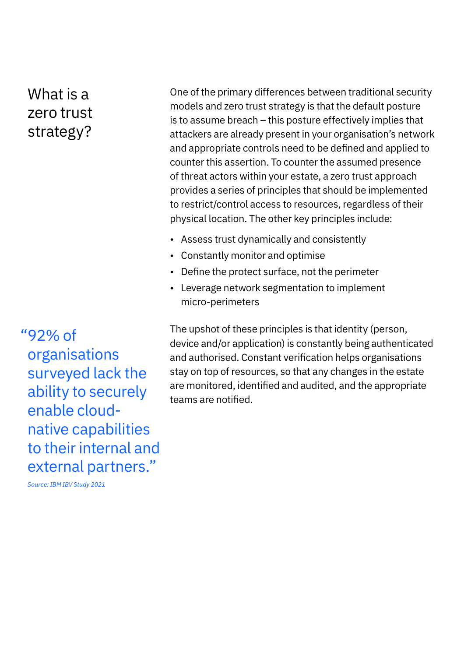# What is a zero trust strategy?

"92% of organisations surveyed lack the ability to securely enable cloudnative capabilities to their internal and external partners."

One of the primary differences between traditional security models and zero trust strategy is that the default posture is to assume breach – this posture effectively implies that attackers are already present in your organisation's network and appropriate controls need to be defined and applied to counter this assertion. To counter the assumed presence of threat actors within your estate, a zero trust approach provides a series of principles that should be implemented to restrict/control access to resources, regardless of their physical location. The other key principles include:

- Assess trust dynamically and consistently
- Constantly monitor and optimise
- Define the protect surface, not the perimeter
- Leverage network segmentation to implement micro-perimeters

The upshot of these principles is that identity (person, device and/or application) is constantly being authenticated and authorised. Constant verification helps organisations stay on top of resources, so that any changes in the estate are monitored, identified and audited, and the appropriate teams are notified.

*Source: IBM IBV Study 2021*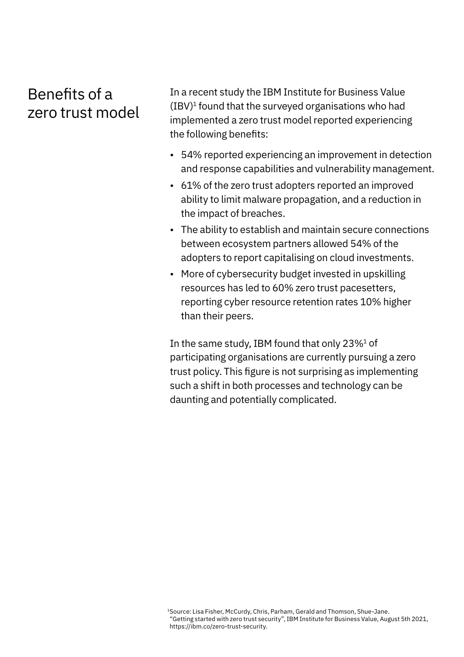# Benefits of a zero trust model

In a recent study the IBM Institute for Business Value  $(IBV)<sup>1</sup>$  found that the surveyed organisations who had implemented a zero trust model reported experiencing the following benefits:

- 54% reported experiencing an improvement in detection and response capabilities and vulnerability management.
- 61% of the zero trust adopters reported an improved ability to limit malware propagation, and a reduction in the impact of breaches.
- The ability to establish and maintain secure connections between ecosystem partners allowed 54% of the adopters to report capitalising on cloud investments.
- More of cybersecurity budget invested in upskilling resources has led to 60% zero trust pacesetters, reporting cyber resource retention rates 10% higher than their peers.

In the same study, IBM found that only  $23\%<sup>1</sup>$  of participating organisations are currently pursuing a zero trust policy. This figure is not surprising as implementing such a shift in both processes and technology can be daunting and potentially complicated.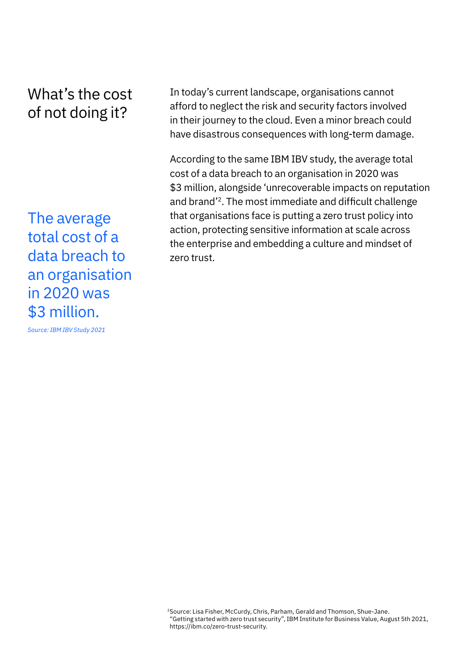# What's the cost of not doing it?

The average total cost of a data breach to an organisation in 2020 was \$3 million.

*Source: IBM IBV Study 2021*

In today's current landscape, organisations cannot afford to neglect the risk and security factors involved in their journey to the cloud. Even a minor breach could have disastrous consequences with long-term damage.

According to the same IBM IBV study, the average total cost of a data breach to an organisation in 2020 was \$3 million, alongside 'unrecoverable impacts on reputation and brand'2. The most immediate and difficult challenge that organisations face is putting a zero trust policy into action, protecting sensitive information at scale across the enterprise and embedding a culture and mindset of zero trust.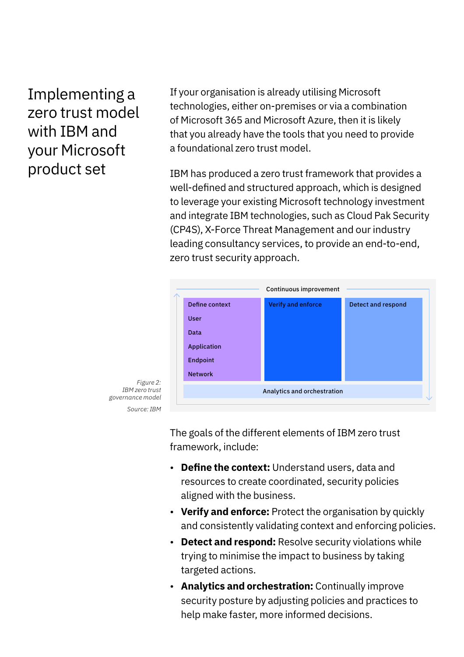Implementing a zero trust model with IBM and your Microsoft product set

If your organisation is already utilising Microsoft technologies, either on-premises or via a combination of Microsoft 365 and Microsoft Azure, then it is likely that you already have the tools that you need to provide a foundational zero trust model.

IBM has produced a zero trust framework that provides a well-defined and structured approach, which is designed to leverage your existing Microsoft technology investment and integrate IBM technologies, such as Cloud Pak Security (CP4S), X-Force Threat Management and our industry leading consultancy services, to provide an end-to-end, zero trust security approach.



*Figure 2: IBM zero trust governance model Source: IBM*

> The goals of the different elements of IBM zero trust framework, include:

- **Define the context:** Understand users, data and resources to create coordinated, security policies aligned with the business.
- **Verify and enforce:** Protect the organisation by quickly and consistently validating context and enforcing policies.
- **Detect and respond:** Resolve security violations while trying to minimise the impact to business by taking targeted actions.
- **Analytics and orchestration:** Continually improve security posture by adjusting policies and practices to help make faster, more informed decisions.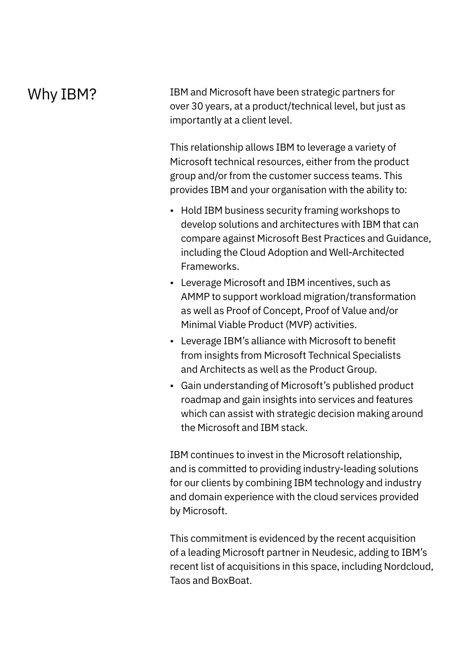## Why IBM?

IBM and Microsoft have been strategic partners for over 30 years, at a product/technical level, but just as importantly at a client level.

This relationship allows IBM to leverage a variety of Microsoft technical resources, either from the product group and/or from the customer success teams. This provides IBM and your organisation with the ability to:

- Hold IBM business security framing workshops to develop solutions and architectures with IBM that can compare against Microsoft Best Practices and Guidance, including the Cloud Adoption and Well-Architected Frameworks.
- Leverage Microsoft and IBM incentives, such as AMMP to support workload migration/transformation as well as Proof of Concept, Proof of Value and/or Minimal Viable Product (MVP) activities.
- Leverage IBM's alliance with Microsoft to benefit from insights from Microsoft Technical Specialists and Architects as well as the Product Group.
- Gain understanding of Microsoft's published product roadmap and gain insights into services and features which can assist with strategic decision making around the Microsoft and IBM stack.

IBM continues to invest in the Microsoft relationship, and is committed to providing industry-leading solutions for our clients by combining IBM technology and industry and domain experience with the cloud services provided by Microsoft.

This commitment is evidenced by the recent acquisition of a leading Microsoft partner in Neudesic, adding to IBM's recent list of acquisitions in this space, including Nordcloud, Taos and BoxBoat.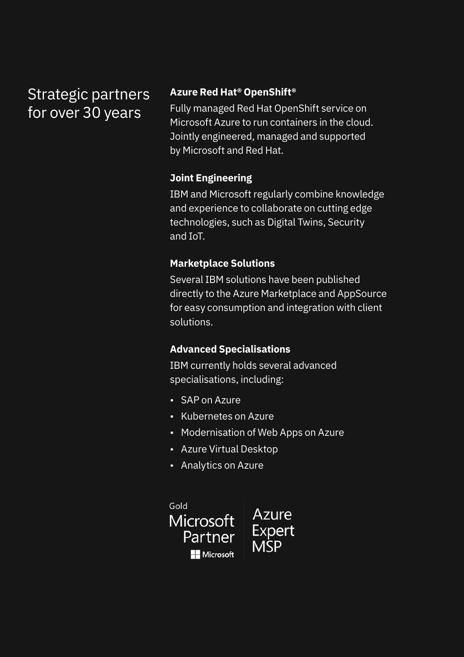# Strategic partners for over 30 years

### **Azure Red Hat® OpenShift®**

Fully managed Red Hat OpenShift service on Microsoft Azure to run containers in the cloud. Jointly engineered, managed and supported by Microsoft and Red Hat.

## **Joint Engineering**

IBM and Microsoft regularly combine knowledge and experience to collaborate on cutting edge technologies, such as Digital Twins, Security and IoT.

## **Marketplace Solutions**

Several IBM solutions have been published directly to the Azure Marketplace and AppSource for easy consumption and integration with client solutions.

## **Advanced Specialisations**

IBM currently holds several advanced specialisations, including:

- SAP on Azure
- Kubernetes on Azure
- Modernisation of Web Apps on Azure
- Azure Virtual Desktop
- Analytics on Azure

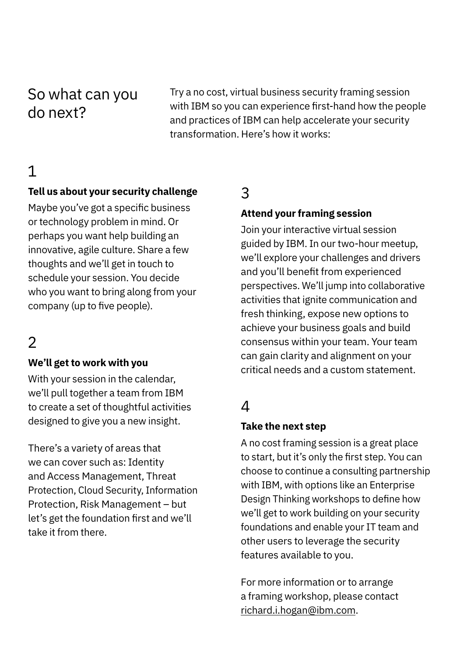## So what can you do next?

Try a no cost, virtual business security framing session with IBM so you can experience first-hand how the people and practices of IBM can help accelerate your security transformation. Here's how it works:

## 1

#### **Tell us about your security challenge**

Maybe you've got a specific business or technology problem in mind. Or perhaps you want help building an innovative, agile culture. Share a few thoughts and we'll get in touch to schedule your session. You decide who you want to bring along from your company (up to five people).

## 2

#### **We'll get to work with you**

With your session in the calendar, we'll pull together a team from IBM to create a set of thoughtful activities designed to give you a new insight.

There's a variety of areas that we can cover such as: Identity and Access Management, Threat Protection, Cloud Security, Information Protection, Risk Management – but let's get the foundation first and we'll take it from there.

## 3

#### **Attend your framing session**

Join your interactive virtual session guided by IBM. In our two-hour meetup, we'll explore your challenges and drivers and you'll benefit from experienced perspectives. We'll jump into collaborative activities that ignite communication and fresh thinking, expose new options to achieve your business goals and build consensus within your team. Your team can gain clarity and alignment on your critical needs and a custom statement.

## $\Delta$

#### **Take the next step**

A no cost framing session is a great place to start, but it's only the first step. You can choose to continue a consulting partnership with IBM, with options like an Enterprise Design Thinking workshops to define how we'll get to work building on your security foundations and enable your IT team and other users to leverage the security features available to you.

For more information or to arrange a framing workshop, please contact richard.i.hogan@ibm.com.